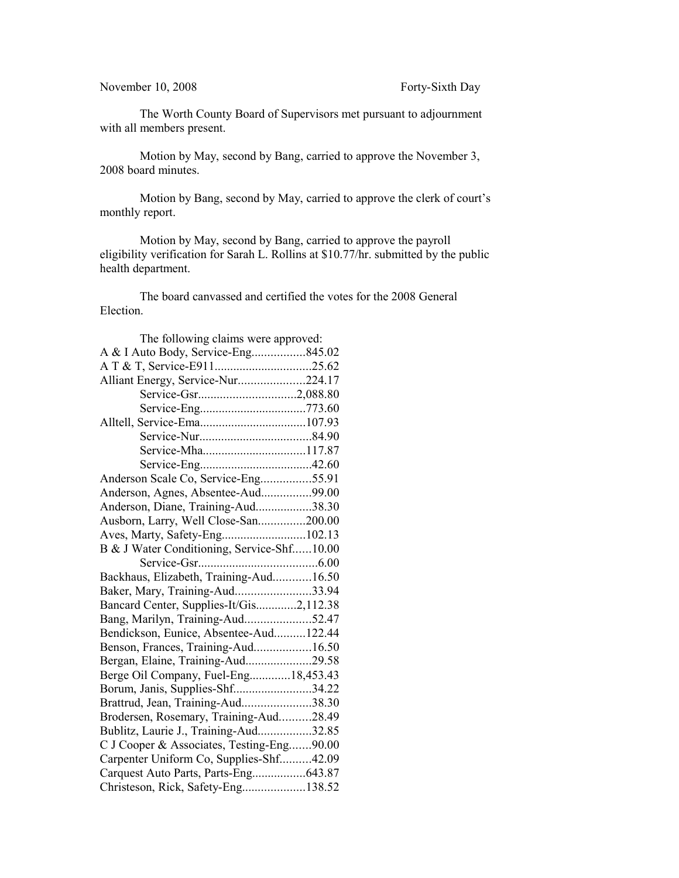The Worth County Board of Supervisors met pursuant to adjournment with all members present.

Motion by May, second by Bang, carried to approve the November 3, 2008 board minutes.

Motion by Bang, second by May, carried to approve the clerk of court's monthly report.

Motion by May, second by Bang, carried to approve the payroll eligibility verification for Sarah L. Rollins at \$10.77/hr. submitted by the public health department.

The board canvassed and certified the votes for the 2008 General Election.

| The following claims were approved:        |  |
|--------------------------------------------|--|
| A & I Auto Body, Service-Eng845.02         |  |
|                                            |  |
| Alliant Energy, Service-Nur224.17          |  |
| Service-Gsr2,088.80                        |  |
|                                            |  |
|                                            |  |
|                                            |  |
| Service-Mha117.87                          |  |
|                                            |  |
| Anderson Scale Co, Service-Eng55.91        |  |
| Anderson, Agnes, Absentee-Aud99.00         |  |
| Anderson, Diane, Training-Aud38.30         |  |
| Ausborn, Larry, Well Close-San200.00       |  |
| Aves, Marty, Safety-Eng102.13              |  |
| B & J Water Conditioning, Service-Shf10.00 |  |
|                                            |  |
| Backhaus, Elizabeth, Training-Aud16.50     |  |
| Baker, Mary, Training-Aud33.94             |  |
| Bancard Center, Supplies-It/Gis2,112.38    |  |
| Bang, Marilyn, Training-Aud52.47           |  |
| Bendickson, Eunice, Absentee-Aud122.44     |  |
| Benson, Frances, Training-Aud16.50         |  |
| Bergan, Elaine, Training-Aud29.58          |  |
| Berge Oil Company, Fuel-Eng18,453.43       |  |
| Borum, Janis, Supplies-Shf34.22            |  |
| Brattrud, Jean, Training-Aud38.30          |  |
| Brodersen, Rosemary, Training-Aud28.49     |  |
| Bublitz, Laurie J., Training-Aud32.85      |  |
| C J Cooper & Associates, Testing-Eng90.00  |  |
| Carpenter Uniform Co, Supplies-Shf42.09    |  |
| Carquest Auto Parts, Parts-Eng643.87       |  |
| Christeson, Rick, Safety-Eng138.52         |  |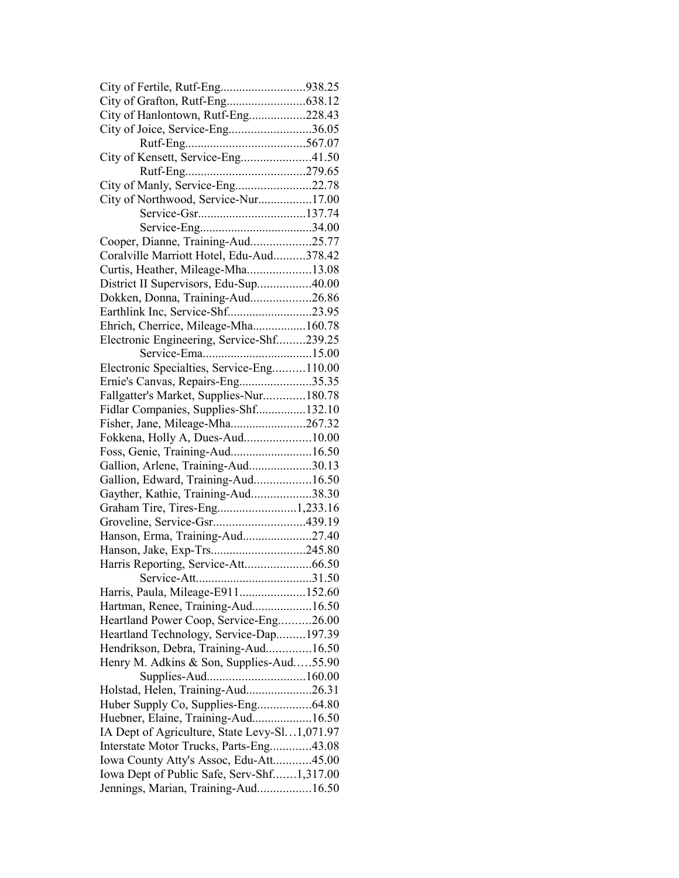| City of Fertile, Rutf-Eng938.25               |  |
|-----------------------------------------------|--|
|                                               |  |
| City of Hanlontown, Rutf-Eng228.43            |  |
| City of Joice, Service-Eng36.05               |  |
|                                               |  |
| City of Kensett, Service-Eng41.50             |  |
|                                               |  |
| City of Manly, Service-Eng22.78               |  |
| City of Northwood, Service-Nur17.00           |  |
|                                               |  |
|                                               |  |
| Cooper, Dianne, Training-Aud25.77             |  |
| Coralville Marriott Hotel, Edu-Aud378.42      |  |
| Curtis, Heather, Mileage-Mha13.08             |  |
| District II Supervisors, Edu-Sup40.00         |  |
| Dokken, Donna, Training-Aud26.86              |  |
|                                               |  |
| Earthlink Inc, Service-Shf23.95               |  |
| Ehrich, Cherrice, Mileage-Mha160.78           |  |
| Electronic Engineering, Service-Shf239.25     |  |
|                                               |  |
| Electronic Specialties, Service-Eng110.00     |  |
| Ernie's Canvas, Repairs-Eng35.35              |  |
| Fallgatter's Market, Supplies-Nur180.78       |  |
| Fidlar Companies, Supplies-Shf132.10          |  |
| Fisher, Jane, Mileage-Mha267.32               |  |
| Fokkena, Holly A, Dues-Aud10.00               |  |
| Foss, Genie, Training-Aud16.50                |  |
| Gallion, Arlene, Training-Aud30.13            |  |
| Gallion, Edward, Training-Aud16.50            |  |
| Gayther, Kathie, Training-Aud38.30            |  |
| Graham Tire, Tires-Eng1,233.16                |  |
| Groveline, Service-Gsr439.19                  |  |
| Hanson, Erma, Training-Aud27.40               |  |
|                                               |  |
|                                               |  |
|                                               |  |
| Harris, Paula, Mileage-E911152.60             |  |
| Hartman, Renee, Training-Aud16.50             |  |
| Heartland Power Coop, Service-Eng26.00        |  |
| Heartland Technology, Service-Dap197.39       |  |
| Hendrikson, Debra, Training-Aud16.50          |  |
| Henry M. Adkins & Son, Supplies-Aud55.90      |  |
|                                               |  |
| Holstad, Helen, Training-Aud26.31             |  |
| Huber Supply Co, Supplies-Eng64.80            |  |
| Huebner, Elaine, Training-Aud16.50            |  |
| IA Dept of Agriculture, State Levy-Sl1,071.97 |  |
| Interstate Motor Trucks, Parts-Eng43.08       |  |
| Iowa County Atty's Assoc, Edu-Att45.00        |  |
|                                               |  |
| Iowa Dept of Public Safe, Serv-Shf1,317.00    |  |
| Jennings, Marian, Training-Aud16.50           |  |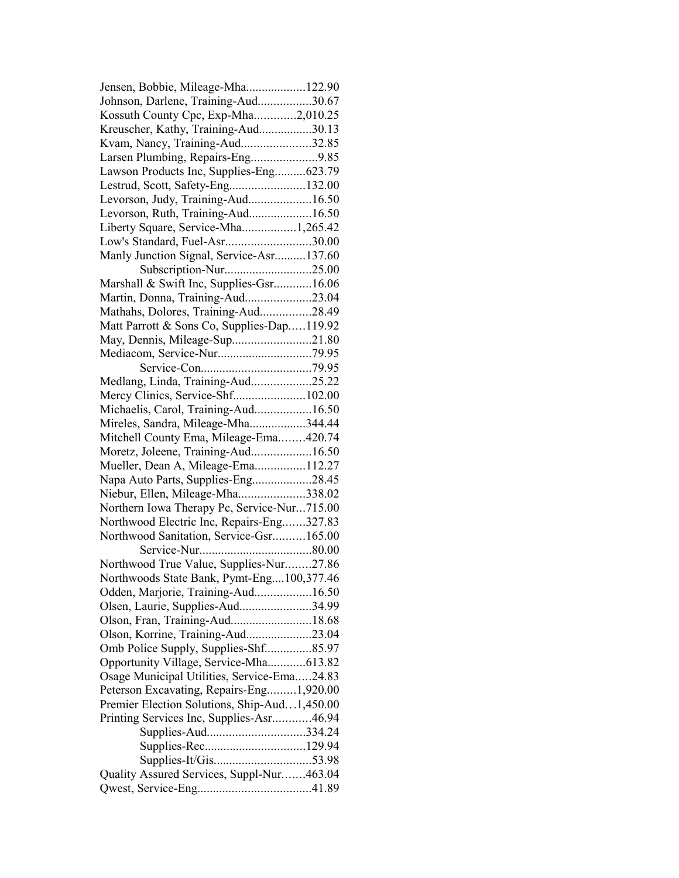| Jensen, Bobbie, Mileage-Mha122.90            |  |
|----------------------------------------------|--|
| Johnson, Darlene, Training-Aud30.67          |  |
| Kossuth County Cpc, Exp-Mha2,010.25          |  |
| Kreuscher, Kathy, Training-Aud30.13          |  |
| Kvam, Nancy, Training-Aud32.85               |  |
| Larsen Plumbing, Repairs-Eng9.85             |  |
| Lawson Products Inc, Supplies-Eng623.79      |  |
| Lestrud, Scott, Safety-Eng132.00             |  |
| Levorson, Judy, Training-Aud16.50            |  |
| Levorson, Ruth, Training-Aud16.50            |  |
| Liberty Square, Service-Mha1,265.42          |  |
| Low's Standard, Fuel-Asr30.00                |  |
| Manly Junction Signal, Service-Asr137.60     |  |
|                                              |  |
| Marshall & Swift Inc, Supplies-Gsr16.06      |  |
| Martin, Donna, Training-Aud23.04             |  |
| Mathahs, Dolores, Training-Aud28.49          |  |
|                                              |  |
| Matt Parrott & Sons Co, Supplies-Dap119.92   |  |
| May, Dennis, Mileage-Sup21.80                |  |
|                                              |  |
|                                              |  |
| Medlang, Linda, Training-Aud25.22            |  |
| Mercy Clinics, Service-Shf102.00             |  |
| Michaelis, Carol, Training-Aud16.50          |  |
| Mireles, Sandra, Mileage-Mha344.44           |  |
| Mitchell County Ema, Mileage-Ema420.74       |  |
| Moretz, Joleene, Training-Aud16.50           |  |
| Mueller, Dean A, Mileage-Ema112.27           |  |
| Napa Auto Parts, Supplies-Eng28.45           |  |
| Niebur, Ellen, Mileage-Mha338.02             |  |
| Northern Iowa Therapy Pc, Service-Nur715.00  |  |
| Northwood Electric Inc, Repairs-Eng327.83    |  |
| Northwood Sanitation, Service-Gsr165.00      |  |
|                                              |  |
| Northwood True Value, Supplies-Nur27.86      |  |
| Northwoods State Bank, Pymt-Eng100,377.46    |  |
| Odden, Marjorie, Training-Aud16.50           |  |
| Olsen, Laurie, Supplies-Aud34.99             |  |
| Olson, Fran, Training-Aud18.68               |  |
| Olson, Korrine, Training-Aud23.04            |  |
| Omb Police Supply, Supplies-Shf85.97         |  |
| Opportunity Village, Service-Mha613.82       |  |
| Osage Municipal Utilities, Service-Ema24.83  |  |
| Peterson Excavating, Repairs-Eng1,920.00     |  |
| Premier Election Solutions, Ship-Aud1,450.00 |  |
| Printing Services Inc, Supplies-Asr46.94     |  |
| Supplies-Aud334.24                           |  |
|                                              |  |
|                                              |  |
| Quality Assured Services, Suppl-Nur463.04    |  |
|                                              |  |
|                                              |  |